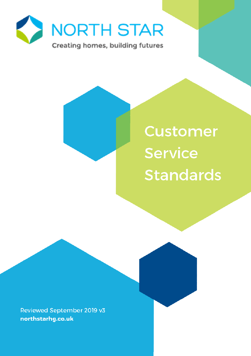

**Customer Service Standards** 

Reviewed September 2019 v3 northstarhg.co.uk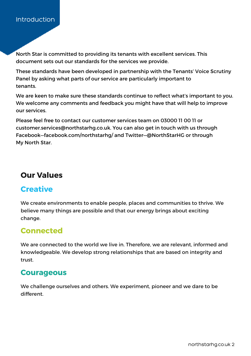### **Introduction**

North Star is committed to providing its tenants with excellent services. This document sets out our standards for the services we provide.

These standards have been developed in partnership with the Tenants' Voice Scrutiny Panel by asking what parts of our service are particularly important to tenants.

We are keen to make sure these standards continue to reflect what's important to you. We welcome any comments and feedback you might have that will help to improve our services.

Please feel free to contact our customer services team on 03000 11 00 11 or customer.services@northstarhg.co.uk. You can also get in touch with us through Facebook—facebook.com/northstarhg/ and Twitter—@NorthStarHG or through My North Star.

## **Our Values**

# **Creative**

We create environments to enable people, places and communities to thrive. We believe many things are possible and that our energy brings about exciting change.

# **Connected**

We are connected to the world we live in. Therefore, we are relevant, informed and knowledgeable. We develop strong relationships that are based on integrity and trust.

# **Courageous**

We challenge ourselves and others. We experiment, pioneer and we dare to be different.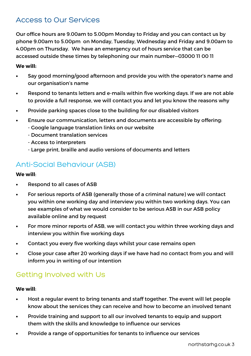# Access to Our Services

Our office hours are 9.00am to 5.00pm Monday to Friday and you can contact us by phone 9.00am to 5.00pm on Monday, Tuesday, Wednesday and Friday and 9.00am to 4.00pm on Thursday. We have an emergency out of hours service that can be accessed outside these times by telephoning our main number—03000 11 00 11

#### **We will:**

- Say good morning/good afternoon and provide you with the operator's name and our organisation's name
- Respond to tenants letters and e-mails within five working days. If we are not able to provide a full response, we will contact you and let you know the reasons why
- Provide parking spaces close to the building for our disabled visitors
- Ensure our communication, letters and documents are accessible by offering:
	- Google language translation links on our website
	- Document translation services
	- Access to interpreters
	- Large print, braille and audio versions of documents and letters

## Anti-Social Behaviour (ASB)

#### **We will**:

- Respond to all cases of ASB
- For serious reports of ASB (generally those of a criminal nature) we will contact you within one working day and interview you within two working days. You can see examples of what we would consider to be serious ASB in our ASB policy available online and by request
- For more minor reports of ASB, we will contact you within three working days and interview you within five working days
- Contact you every five working days whilst your case remains open
- Close your case after 20 working days if we have had no contact from you and will inform you in writing of our intention

### Getting Involved with Us

#### **We will**:

- Host a regular event to bring tenants and staff together. The event will let people know about the services they can receive and how to become an involved tenant
- Provide training and support to all our involved tenants to equip and support them with the skills and knowledge to influence our services
- Provide a range of opportunities for tenants to influence our services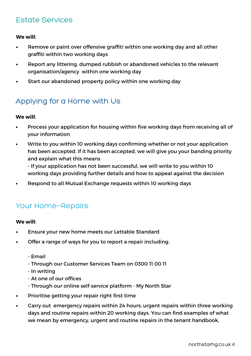# Estate Services

**We will**:

- Remove or paint over offensive graffiti within one working day and all other graffiti within two working days
- Report any littering, dumped rubbish or abandoned vehicles to the relevant organisation/agency within one working day
- Start our abandoned property policy within one working day

# Applying for a Home with Us

#### **We will**:

- Process your application for housing within five working days from receiving all of your information
- Write to you within 10 working days confirming whether or not your application has been accepted. If it has been accepted, we will give you your banding priority and explain what this means

- If your application has not been successful, we will write to you within 10 working days providing further details and how to appeal against the decision

• Respond to all Mutual Exchange requests within 10 working days

### Your Home-Repairs

#### **We will**:

- Ensure your new home meets our Lettable Standard
- Offer a range of ways for you to report a repair including:
	- Email
	- Through our Customer Services Team on 0300 11 00 11
	- In writing
	- At one of our offices
	- Through our online self-service platform My North Star
- Prioritise getting your repair right first time
- Carry out emergency repairs within 24 hours, urgent repairs within three working days and routine repairs within 20 working days. You can find examples of what we mean by emergency, urgent and routine repairs in the tenant handbook,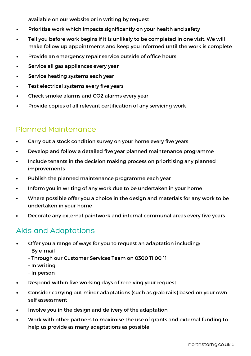available on our website or in writing by request

- Prioritise work which impacts significantly on your health and safety
- Tell you before work begins if it is unlikely to be completed in one visit. We will make follow up appointments and keep you informed until the work is complete
- Provide an emergency repair service outside of office hours
- Service all gas appliances every year
- Service heating systems each year
- Test electrical systems every five years
- Check smoke alarms and CO2 alarms every year
- Provide copies of all relevant certification of any servicing work

### Planned Maintenance

- Carry out a stock condition survey on your home every five years
- Develop and follow a detailed five year planned maintenance programme
- Include tenants in the decision making process on prioritising any planned improvements
- Publish the planned maintenance programme each year
- Inform you in writing of any work due to be undertaken in your home
- Where possible offer you a choice in the design and materials for any work to be undertaken in your home
- Decorate any external paintwork and internal communal areas every five years

### Aids and Adaptations

- Offer you a range of ways for you to request an adaptation including:
	- By e-mail
	- Through our Customer Services Team on 0300 11 00 11
	- In writing
	- In person
- Respond within five working days of receiving your request
- Consider carrying out minor adaptations (such as grab rails) based on your own self assessment
- Involve you in the design and delivery of the adaptation
- Work with other partners to maximise the use of grants and external funding to help us provide as many adaptations as possible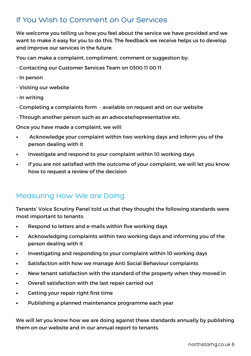# If You Wish to Comment on Our Services

We welcome you telling us how you feel about the service we have provided and we want to make it easy for you to do this. The feedback we receive helps us to develop and improve our services in the future.

You can make a complaint, compliment, comment or suggestion by:

- Contacting our Customer Services Team on 0300 11 00 11
- In person
- Visiting our website
- In writing
- Completing a complaints form available on request and on our website
- Through another person such as an advocate/representative etc.

Once you have made a complaint, we will:

- Acknowledge your complaint within two working days and inform you of the person dealing with it
- Investigate and respond to your complaint within 10 working days
- If you are not satisfied with the outcome of your complaint, we will let you know how to request a review of the decision

### Measuring How We are Doing

Tenants' Voice Scrutiny Panel told us that they thought the following standards were most important to tenants:

- Respond to letters and e-mails within five working days
- Acknowledging complaints within two working days and informing you of the person dealing with it
- Investigating and responding to your complaint within 10 working days
- Satisfaction with how we manage Anti Social Behaviour complaints
- New tenant satisfaction with the standard of the property when they moved in
- Overall satisfaction with the last repair carried out
- Getting your repair right first time
- Publishing a planned maintenance programme each year

We will let you know how we are doing against these standards annually by publishing them on our website and in our annual report to tenants.